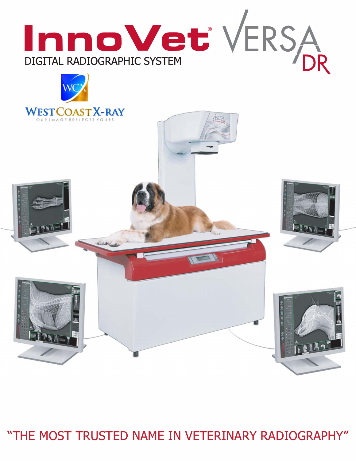

"THE MOST TRUSTED NAME IN VETERINARY RADIOGRAPHY"